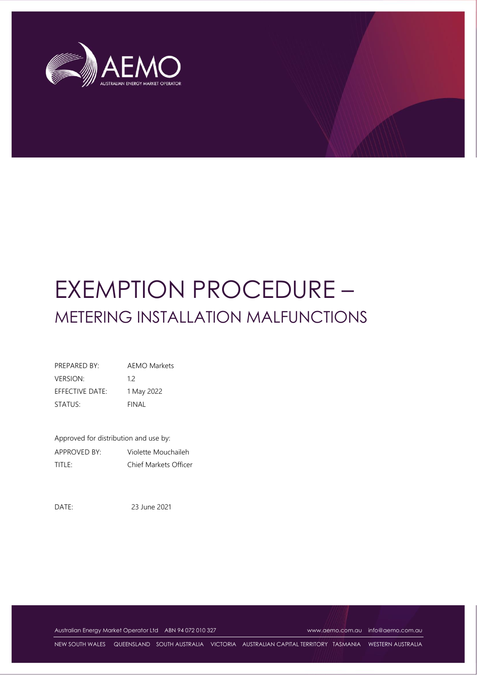

# EXEMPTION PROCEDURE – METERING INSTALLATION MALFUNCTIONS

| PREPARED BY:    | <b>AEMO Markets</b> |
|-----------------|---------------------|
| <b>VERSION:</b> | 12                  |
| EFFECTIVE DATE: | 1 May 2022          |
| STATUS:         | FINAL               |

Approved for distribution and use by: APPROVED BY: Violette Mouchaileh TITLE: Chief Markets Officer

DATE: 23 June 2021

Australian Energy Market Operator Ltd ABN 94 072 010 327 [www.aemo.com.au](http://www.aemo.com.au/) [info@aemo.com.au](mailto:info@aemo.com.au)

NEW SOUTH WALES QUEENSLAND SOUTH AUSTRALIA VICTORIA AUSTRALIAN CAPITAL TERRITORY TASMANIA WESTERN AUSTRALIA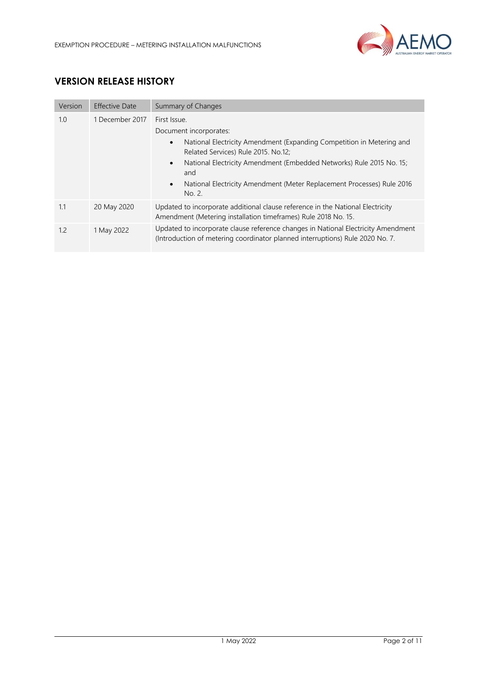

# **VERSION RELEASE HISTORY**

| Version | <b>Effective Date</b> | Summary of Changes                                                                                                                                                                                                                                                                                                                                  |  |
|---------|-----------------------|-----------------------------------------------------------------------------------------------------------------------------------------------------------------------------------------------------------------------------------------------------------------------------------------------------------------------------------------------------|--|
| 1.0     | 1 December 2017       | First Issue.<br>Document incorporates:<br>National Electricity Amendment (Expanding Competition in Metering and<br>$\bullet$<br>Related Services) Rule 2015, No.12;<br>National Electricity Amendment (Embedded Networks) Rule 2015 No. 15;<br>$\bullet$<br>and<br>National Electricity Amendment (Meter Replacement Processes) Rule 2016<br>No. 2. |  |
| 1.1     | 20 May 2020           | Updated to incorporate additional clause reference in the National Electricity<br>Amendment (Metering installation timeframes) Rule 2018 No. 15.                                                                                                                                                                                                    |  |
| 1.2     | 1 May 2022            | Updated to incorporate clause reference changes in National Electricity Amendment<br>(Introduction of metering coordinator planned interruptions) Rule 2020 No. 7.                                                                                                                                                                                  |  |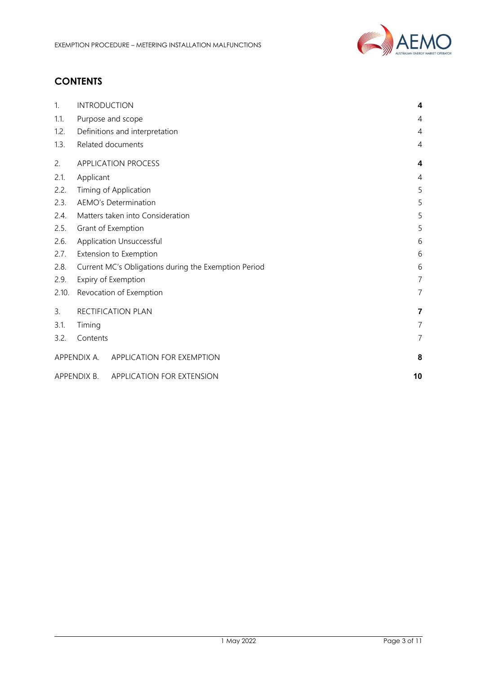

# **CONTENTS**

| 1.    | <b>INTRODUCTION</b>                                       | 4              |
|-------|-----------------------------------------------------------|----------------|
| 1.1.  | Purpose and scope                                         | 4              |
| 1.2.  | Definitions and interpretation                            | $\overline{4}$ |
| 1.3.  | Related documents                                         | 4              |
| 2.    | <b>APPLICATION PROCESS</b>                                | 4              |
| 2.1.  | Applicant                                                 | $\overline{4}$ |
| 2.2.  | Timing of Application                                     | 5              |
| 2.3.  | <b>AEMO's Determination</b>                               | 5              |
| 2.4.  | Matters taken into Consideration                          | 5              |
| 2.5.  | Grant of Exemption                                        | 5              |
| 2.6.  | Application Unsuccessful                                  |                |
| 2.7.  | Extension to Exemption<br>6                               |                |
| 2.8.  | Current MC's Obligations during the Exemption Period<br>6 |                |
| 2.9.  | $\overline{7}$<br>Expiry of Exemption                     |                |
| 2.10. | Revocation of Exemption                                   | $\overline{7}$ |
| 3.    | RECTIFICATION PLAN                                        | 7              |
| 3.1.  | Timing                                                    | 7              |
| 3.2.  | Contents                                                  | $\overline{7}$ |
|       | APPENDIX A. APPLICATION FOR EXEMPTION                     | 8              |
|       | APPENDIX B.<br>APPLICATION FOR EXTENSION                  | 10             |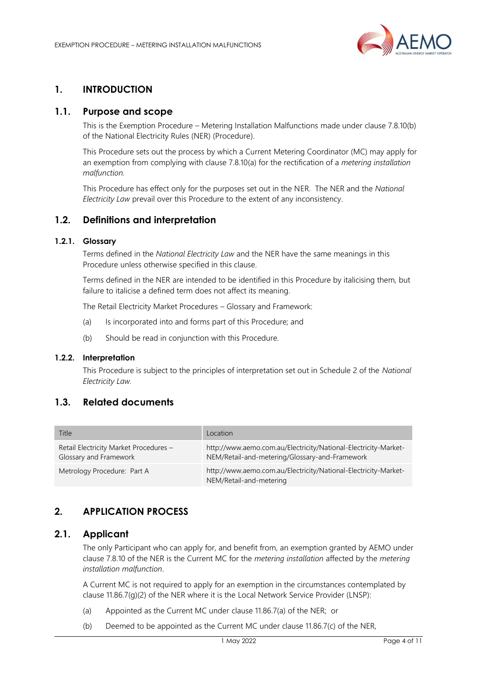

# <span id="page-3-0"></span>**1. INTRODUCTION**

#### <span id="page-3-1"></span>**1.1. Purpose and scope**

This is the Exemption Procedure – Metering Installation Malfunctions made under clause 7.8.10(b) of the National Electricity Rules (NER) (Procedure).

This Procedure sets out the process by which a Current Metering Coordinator (MC) may apply for an exemption from complying with clause 7.8.10(a) for the rectification of a *metering installation malfunction.*

This Procedure has effect only for the purposes set out in the NER. The NER and the *National Electricity Law* prevail over this Procedure to the extent of any inconsistency.

#### <span id="page-3-2"></span>**1.2. Definitions and interpretation**

#### **1.2.1. Glossary**

Terms defined in the *National Electricity Law* and the NER have the same meanings in this Procedure unless otherwise specified in this clause.

Terms defined in the NER are intended to be identified in this Procedure by italicising them, but failure to italicise a defined term does not affect its meaning.

The Retail Electricity Market Procedures – Glossary and Framework:

- (a) Is incorporated into and forms part of this Procedure; and
- (b) Should be read in conjunction with this Procedure.

#### **1.2.2. Interpretation**

This Procedure is subject to the principles of interpretation set out in Schedule 2 of the *National Electricity Law.*

#### <span id="page-3-3"></span>**1.3. Related documents**

| Title                                                            | Location                                                                                                          |
|------------------------------------------------------------------|-------------------------------------------------------------------------------------------------------------------|
| Retail Electricity Market Procedures -<br>Glossary and Framework | http://www.aemo.com.au/Electricity/National-Electricity-Market-<br>NEM/Retail-and-metering/Glossary-and-Framework |
| Metrology Procedure: Part A                                      | http://www.aemo.com.au/Electricity/National-Electricity-Market-<br>NEM/Retail-and-metering                        |

## <span id="page-3-4"></span>**2. APPLICATION PROCESS**

#### <span id="page-3-5"></span>**2.1. Applicant**

The only Participant who can apply for, and benefit from, an exemption granted by AEMO under clause 7.8.10 of the NER is the Current MC for the *metering installation* affected by the *metering installation malfunction*.

A Current MC is not required to apply for an exemption in the circumstances contemplated by clause 11.86.7(g)(2) of the NER where it is the Local Network Service Provider (LNSP):

- (a) Appointed as the Current MC under clause 11.86.7(a) of the NER; or
- (b) Deemed to be appointed as the Current MC under clause 11.86.7(c) of the NER,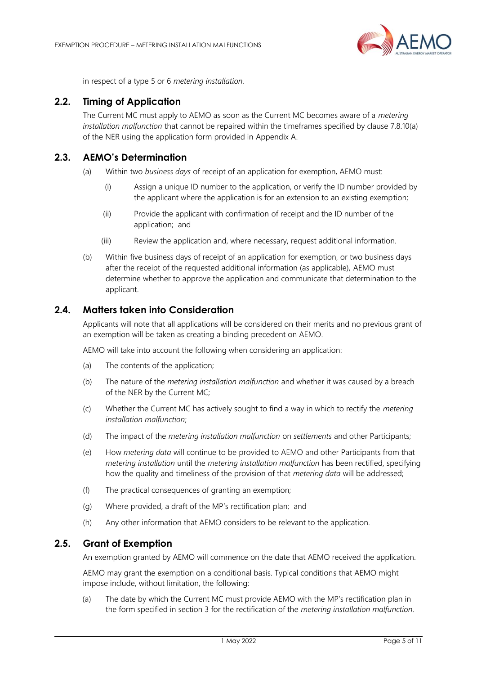

in respect of a type 5 or 6 *metering installation.*

#### <span id="page-4-0"></span>**2.2. Timing of Application**

The Current MC must apply to AEMO as soon as the Current MC becomes aware of a *metering installation malfunction* that cannot be repaired within the timeframes specified by clause 7.8.10(a) of the NER using the application form provided in Appendix A.

#### <span id="page-4-1"></span>**2.3. AEMO's Determination**

- (a) Within two *business days* of receipt of an application for exemption, AEMO must:
	- (i) Assign a unique ID number to the application, or verify the ID number provided by the applicant where the application is for an extension to an existing exemption;
	- (ii) Provide the applicant with confirmation of receipt and the ID number of the application; and
	- (iii) Review the application and, where necessary, request additional information.
- (b) Within five business days of receipt of an application for exemption, or two business days after the receipt of the requested additional information (as applicable), AEMO must determine whether to approve the application and communicate that determination to the applicant.

#### <span id="page-4-2"></span>**2.4. Matters taken into Consideration**

Applicants will note that all applications will be considered on their merits and no previous grant of an exemption will be taken as creating a binding precedent on AEMO.

AEMO will take into account the following when considering an application:

- (a) The contents of the application;
- (b) The nature of the *metering installation malfunction* and whether it was caused by a breach of the NER by the Current MC;
- (c) Whether the Current MC has actively sought to find a way in which to rectify the *metering installation malfunction*;
- (d) The impact of the *metering installation malfunction* on *settlements* and other Participants;
- (e) How *metering data* will continue to be provided to AEMO and other Participants from that *metering installation* until the *metering installation malfunction* has been rectified, specifying how the quality and timeliness of the provision of that *metering data* will be addressed;
- (f) The practical consequences of granting an exemption;
- (g) Where provided, a draft of the MP's rectification plan; and
- (h) Any other information that AEMO considers to be relevant to the application.

#### <span id="page-4-3"></span>**2.5. Grant of Exemption**

An exemption granted by AEMO will commence on the date that AEMO received the application.

AEMO may grant the exemption on a conditional basis. Typical conditions that AEMO might impose include, without limitation, the following:

(a) The date by which the Current MC must provide AEMO with the MP's rectification plan in the form specified in section 3 for the rectification of the *metering installation malfunction*.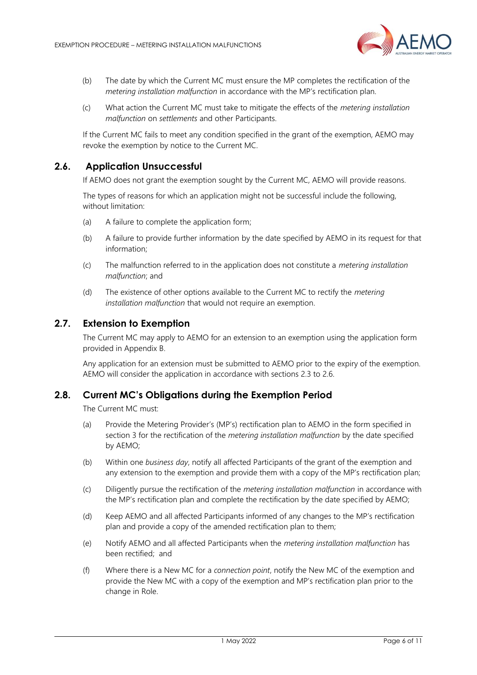

- (b) The date by which the Current MC must ensure the MP completes the rectification of the *metering installation malfunction* in accordance with the MP's rectification plan.
- (c) What action the Current MC must take to mitigate the effects of the *metering installation malfunction* on *settlements* and other Participants.

If the Current MC fails to meet any condition specified in the grant of the exemption, AEMO may revoke the exemption by notice to the Current MC.

#### **2.6. Application Unsuccessful**

<span id="page-5-0"></span>If AEMO does not grant the exemption sought by the Current MC, AEMO will provide reasons.

The types of reasons for which an application might not be successful include the following, without limitation:

- (a) A failure to complete the application form;
- (b) A failure to provide further information by the date specified by AEMO in its request for that information;
- (c) The malfunction referred to in the application does not constitute a *metering installation malfunction*; and
- (d) The existence of other options available to the Current MC to rectify the *metering installation malfunction* that would not require an exemption.

#### <span id="page-5-1"></span>**2.7. Extension to Exemption**

The Current MC may apply to AEMO for an extension to an exemption using the application form provided in Appendix B.

Any application for an extension must be submitted to AEMO prior to the expiry of the exemption. AEMO will consider the application in accordance with sections 2.3 to 2.6.

#### <span id="page-5-2"></span>**2.8. Current MC's Obligations during the Exemption Period**

The Current MC must:

- (a) Provide the Metering Provider's (MP's) rectification plan to AEMO in the form specified in section 3 for the rectification of the *metering installation malfunction* by the date specified by AEMO;
- (b) Within one *business day*, notify all affected Participants of the grant of the exemption and any extension to the exemption and provide them with a copy of the MP's rectification plan;
- (c) Diligently pursue the rectification of the *metering installation malfunction* in accordance with the MP's rectification plan and complete the rectification by the date specified by AEMO;
- (d) Keep AEMO and all affected Participants informed of any changes to the MP's rectification plan and provide a copy of the amended rectification plan to them;
- (e) Notify AEMO and all affected Participants when the *metering installation malfunction* has been rectified; and
- (f) Where there is a New MC for a *connection point*, notify the New MC of the exemption and provide the New MC with a copy of the exemption and MP's rectification plan prior to the change in Role.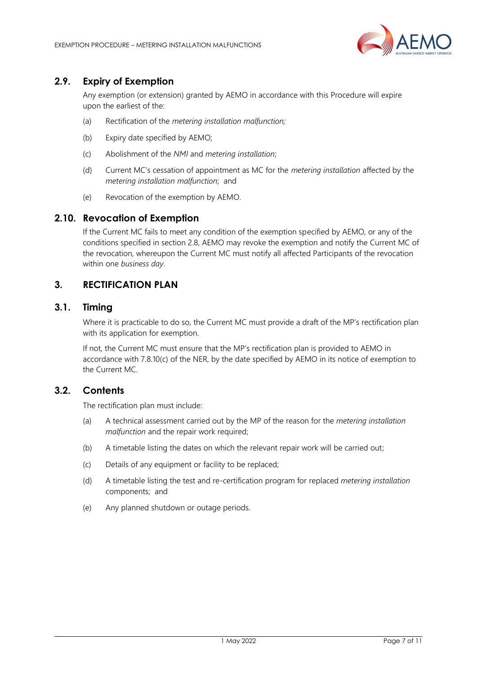

## <span id="page-6-0"></span>**2.9. Expiry of Exemption**

Any exemption (or extension) granted by AEMO in accordance with this Procedure will expire upon the earliest of the:

- (a) Rectification of the *metering installation malfunction;*
- (b) Expiry date specified by AEMO;
- (c) Abolishment of the *NMI* and *metering installation*;
- (d) Current MC's cessation of appointment as MC for the *metering installation* affected by the *metering installation malfunction*; and
- (e) Revocation of the exemption by AEMO.

#### <span id="page-6-1"></span>**2.10. Revocation of Exemption**

If the Current MC fails to meet any condition of the exemption specified by AEMO, or any of the conditions specified in section 2.8, AEMO may revoke the exemption and notify the Current MC of the revocation, whereupon the Current MC must notify all affected Participants of the revocation within one *business day*.

## <span id="page-6-2"></span>**3. RECTIFICATION PLAN**

#### <span id="page-6-3"></span>**3.1. Timing**

Where it is practicable to do so, the Current MC must provide a draft of the MP's rectification plan with its application for exemption.

If not, the Current MC must ensure that the MP's rectification plan is provided to AEMO in accordance with 7.8.10(c) of the NER, by the date specified by AEMO in its notice of exemption to the Current MC.

#### <span id="page-6-4"></span>**3.2. Contents**

The rectification plan must include:

- (a) A technical assessment carried out by the MP of the reason for the *metering installation malfunction* and the repair work required;
- (b) A timetable listing the dates on which the relevant repair work will be carried out;
- (c) Details of any equipment or facility to be replaced;
- (d) A timetable listing the test and re-certification program for replaced *metering installation* components; and
- (e) Any planned shutdown or outage periods.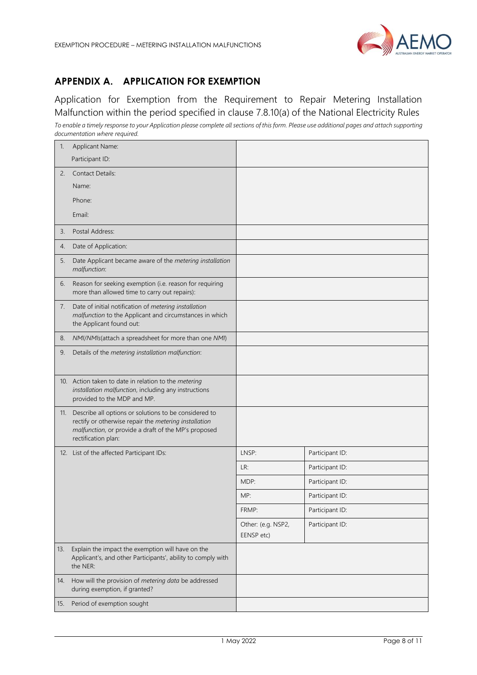

# <span id="page-7-0"></span>**APPENDIX A. APPLICATION FOR EXEMPTION**

Application for Exemption from the Requirement to Repair Metering Installation Malfunction within the period specified in clause 7.8.10(a) of the National Electricity Rules *To enable a timely response to your Application please complete all sections of this form. Please use additional pages and attach supporting documentation where required.*

| 1.  | Applicant Name:                                                                                                                                                                               |                                  |                 |
|-----|-----------------------------------------------------------------------------------------------------------------------------------------------------------------------------------------------|----------------------------------|-----------------|
|     | Participant ID:                                                                                                                                                                               |                                  |                 |
| 2.  | <b>Contact Details:</b>                                                                                                                                                                       |                                  |                 |
|     | Name:                                                                                                                                                                                         |                                  |                 |
|     | Phone:                                                                                                                                                                                        |                                  |                 |
|     | Email:                                                                                                                                                                                        |                                  |                 |
| 3.  | Postal Address:                                                                                                                                                                               |                                  |                 |
| 4.  | Date of Application:                                                                                                                                                                          |                                  |                 |
| 5.  | Date Applicant became aware of the metering installation<br>malfunction:                                                                                                                      |                                  |                 |
| 6.  | Reason for seeking exemption (i.e. reason for requiring<br>more than allowed time to carry out repairs):                                                                                      |                                  |                 |
| 7.  | Date of initial notification of metering installation<br>malfunction to the Applicant and circumstances in which<br>the Applicant found out:                                                  |                                  |                 |
| 8.  | NMI/NMIs(attach a spreadsheet for more than one NMI)                                                                                                                                          |                                  |                 |
| 9.  | Details of the metering installation malfunction:                                                                                                                                             |                                  |                 |
|     | 10. Action taken to date in relation to the metering<br>installation malfunction, including any instructions<br>provided to the MDP and MP.                                                   |                                  |                 |
| 11. | Describe all options or solutions to be considered to<br>rectify or otherwise repair the metering installation<br>malfunction, or provide a draft of the MP's proposed<br>rectification plan: |                                  |                 |
|     | 12. List of the affected Participant IDs:                                                                                                                                                     | LNSP:                            | Participant ID: |
|     |                                                                                                                                                                                               | LR:                              | Participant ID: |
|     |                                                                                                                                                                                               | MDP:                             | Participant ID: |
|     |                                                                                                                                                                                               | MP:                              | Participant ID: |
|     |                                                                                                                                                                                               | FRMP:                            | Participant ID: |
|     |                                                                                                                                                                                               | Other: (e.g. NSP2,<br>EENSP etc) | Participant ID: |
| 13. | Explain the impact the exemption will have on the<br>Applicant's, and other Participants', ability to comply with<br>the NER:                                                                 |                                  |                 |
| 14. | How will the provision of metering data be addressed<br>during exemption, if granted?                                                                                                         |                                  |                 |
| 15. | Period of exemption sought                                                                                                                                                                    |                                  |                 |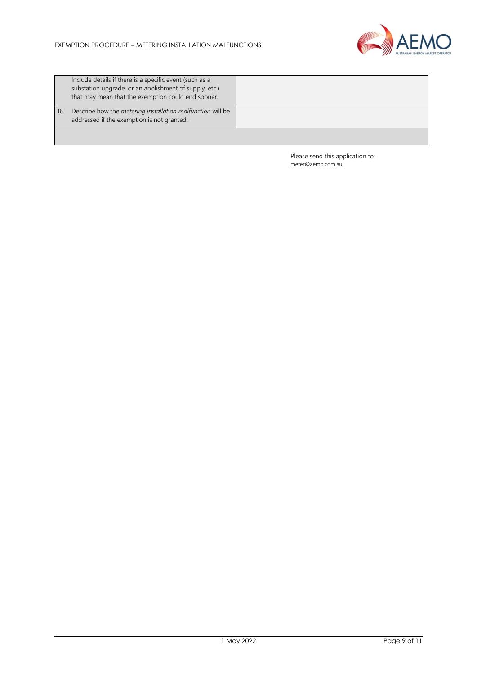

|     | Include details if there is a specific event (such as a<br>substation upgrade, or an abolishment of supply, etc.)<br>that may mean that the exemption could end sooner. |  |
|-----|-------------------------------------------------------------------------------------------------------------------------------------------------------------------------|--|
| 16. | Describe how the <i>metering installation malfunction</i> will be<br>addressed if the exemption is not granted:                                                         |  |
|     |                                                                                                                                                                         |  |

Please send this application to: [meter@aemo.com.au](mailto:meter@nemmco.com.au)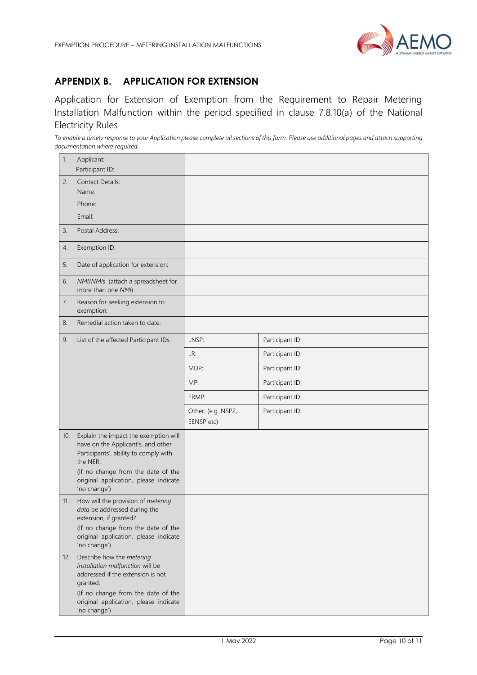

# <span id="page-9-0"></span>**APPENDIX B. APPLICATION FOR EXTENSION**

Application for Extension of Exemption from the Requirement to Repair Metering Installation Malfunction within the period specified in clause 7.8.10(a) of the National Electricity Rules

*To enable a timely response to your Application please complete all sections of this form. Please use additional pages and attach supporting documentation where required.* 

| 1.  | Applicant:<br>Participant ID:                                                                                                                                                                                                   |                                  |                 |
|-----|---------------------------------------------------------------------------------------------------------------------------------------------------------------------------------------------------------------------------------|----------------------------------|-----------------|
| 2.  | <b>Contact Details:</b><br>Name:<br>Phone:                                                                                                                                                                                      |                                  |                 |
|     | Email:                                                                                                                                                                                                                          |                                  |                 |
| 3.  | Postal Address:                                                                                                                                                                                                                 |                                  |                 |
| 4.  | Exemption ID:                                                                                                                                                                                                                   |                                  |                 |
| 5.  | Date of application for extension:                                                                                                                                                                                              |                                  |                 |
| 6.  | NMI/NMIs (attach a spreadsheet for<br>more than one NMI)                                                                                                                                                                        |                                  |                 |
| 7.  | Reason for seeking extension to<br>exemption:                                                                                                                                                                                   |                                  |                 |
| 8.  | Remedial action taken to date:                                                                                                                                                                                                  |                                  |                 |
| 9.  | List of the affected Participant IDs:                                                                                                                                                                                           | LNSP:                            | Participant ID: |
|     |                                                                                                                                                                                                                                 | LR:                              | Participant ID: |
|     |                                                                                                                                                                                                                                 | MDP:                             | Participant ID: |
|     |                                                                                                                                                                                                                                 | MP:                              | Participant ID: |
|     |                                                                                                                                                                                                                                 | FRMP:                            | Participant ID: |
|     |                                                                                                                                                                                                                                 | Other: (e.g. NSP2,<br>EENSP etc) | Participant ID: |
| 10. | Explain the impact the exemption will<br>have on the Applicant's, and other<br>Participants', ability to comply with<br>the NER:<br>(If no change from the date of the<br>original application, please indicate<br>'no change') |                                  |                 |
| 11. | How will the provision of metering<br>data be addressed during the<br>extension, if granted?<br>(If no change from the date of the<br>original application, please indicate<br>'no change')                                     |                                  |                 |
| 12. | Describe how the metering<br>installation malfunction will be<br>addressed if the extension is not<br>granted:<br>(If no change from the date of the<br>original application, please indicate<br>'no change')                   |                                  |                 |